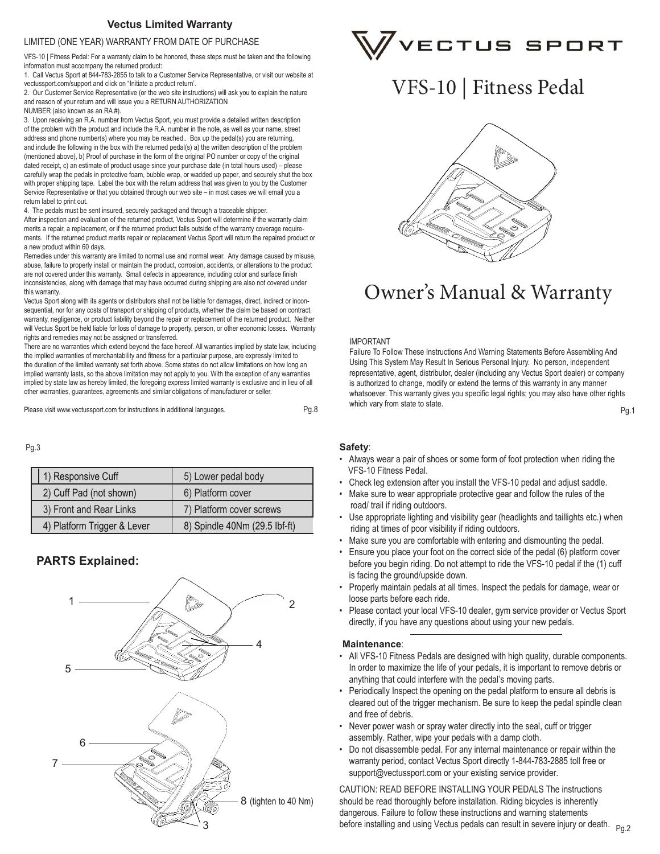### **Vectus Limited Warranty**

#### LIMITED (ONE YEAR) WARRANTY FROM DATE OF PURCHASE

VFS-10 | Fitness Pedal: For a warranty claim to be honored, these steps must be taken and the following information must accompany the returned product:

1. Call Vectus Sport at 844-783-2855 to talk to a Customer Service Representative, or visit our website at vectussport.com/support and click on "Initiate a product return'.

2. Our Customer Service Representative (or the web site instructions) will ask you to explain the nature and reason of your return and will issue you a RETURN AUTHORIZATION

NUMBER (also known as an RA #).

3. Upon receiving an R.A. number from Vectus Sport, you must provide a detailed written description of the problem with the product and include the R.A. number in the note, as well as your name, street address and phone number(s) where you may be reached.. Box up the pedal(s) you are returning, and include the following in the box with the returned pedal(s) a) the written description of the problem (mentioned above), b) Proof of purchase in the form of the original PO number or copy of the original dated receipt, c) an estimate of product usage since your purchase date (in total hours used) – please carefully wrap the pedals in protective foam, bubble wrap, or wadded up paper, and securely shut the box with proper shipping tape. Label the box with the return address that was given to you by the Customer Service Representative or that you obtained through our web site – in most cases we will email you a return label to print out.

4. The pedals must be sent insured, securely packaged and through a traceable shipper. After inspection and evaluation of the returned product, Vectus Sport will determine if the warranty claim merits a repair, a replacement, or if the returned product falls outside of the warranty coverage requirements. If the returned product merits repair or replacement Vectus Sport will return the repaired product or a new product within 60 days.

Remedies under this warranty are limited to normal use and normal wear. Any damage caused by misuse, abuse, failure to properly install or maintain the product, corrosion, accidents, or alterations to the product are not covered under this warranty. Small defects in appearance, including color and surface finish inconsistencies, along with damage that may have occurred during shipping are also not covered under this warranty.

Vectus Sport along with its agents or distributors shall not be liable for damages, direct, indirect or inconsequential, nor for any costs of transport or shipping of products, whether the claim be based on contract, warranty, negligence, or product liability beyond the repair or replacement of the returned product. Neither will Vectus Sport be held liable for loss of damage to property, person, or other economic losses. Warranty rights and remedies may not be assigned or transferred.

There are no warranties which extend beyond the face hereof. All warranties implied by state law, including the implied warranties of merchantability and fitness for a particular purpose, are expressly limited to the duration of the limited warranty set forth above. Some states do not allow limitations on how long an implied warranty lasts, so the above limitation may not apply to you. With the exception of any warranties implied by state law as hereby limited, the foregoing express limited warranty is exclusive and in lieu of all other warranties, guarantees, agreements and similar obligations of manufacturer or seller.

Please visit www.vectussport.com for instructions in additional languages. Pg.1 PPD PRS PROSET WILL A RESERVENT ON A RESERVENT ON A RESERVENT ON A RESERVENT ON A RESERVENT OF PROSESSION PROSESSION PROSESSION PROSESSION PRO

Pg.3

| 1) Responsive Cuff          | 5) Lower pedal body           |
|-----------------------------|-------------------------------|
| 2) Cuff Pad (not shown)     | 6) Platform cover             |
| 3) Front and Rear Links     | 7) Platform cover screws      |
| 4) Platform Trigger & Lever | 8) Spindle 40Nm (29.5 lbf-ft) |

### **PARTS Explained:**





# VFS-10 | Fitness Pedal



# Owner's Manual & Warranty

#### IMPORTANT

Failure To Follow These Instructions And Warning Statements Before Assembling And Using This System May Result In Serious Personal Injury. No person, independent representative, agent, distributor, dealer (including any Vectus Sport dealer) or company is authorized to change, modify or extend the terms of this warranty in any manner whatsoever. This warranty gives you specific legal rights; you may also have other rights which vary from state to state.

#### **Safety**:

Pg.8

- Always wear a pair of shoes or some form of foot protection when riding the VFS-10 Fitness Pedal.
- Check leg extension after you install the VFS-10 pedal and adjust saddle.
- Make sure to wear appropriate protective gear and follow the rules of the road/ trail if riding outdoors.
- Use appropriate lighting and visibility gear (headlights and taillights etc.) when riding at times of poor visibility if riding outdoors.
- Make sure you are comfortable with entering and dismounting the pedal.
- Ensure you place your foot on the correct side of the pedal (6) platform cover before you begin riding. Do not attempt to ride the VFS-10 pedal if the (1) cuff is facing the ground/upside down.
- Properly maintain pedals at all times. Inspect the pedals for damage, wear or loose parts before each ride.
- Please contact your local VFS-10 dealer, gym service provider or Vectus Sport directly, if you have any questions about using your new pedals.

#### **Maintenance**:

- All VFS-10 Fitness Pedals are designed with high quality, durable components. In order to maximize the life of your pedals, it is important to remove debris or anything that could interfere with the pedal's moving parts.
- Periodically Inspect the opening on the pedal platform to ensure all debris is cleared out of the trigger mechanism. Be sure to keep the pedal spindle clean and free of debris.
- Never power wash or spray water directly into the seal, cuff or trigger assembly. Rather, wipe your pedals with a damp cloth.
- Do not disassemble pedal. For any internal maintenance or repair within the warranty period, contact Vectus Sport directly 1-844-783-2885 toll free or support@vectussport.com or your existing service provider.

CAUTION: READ BEFORE INSTALLING YOUR PEDALS The instructions should be read thoroughly before installation. Riding bicycles is inherently dangerous. Failure to follow these instructions and warning statements before installing and using Vectus pedals can result in severe injury or death.  $\rm _{Pg,2}$